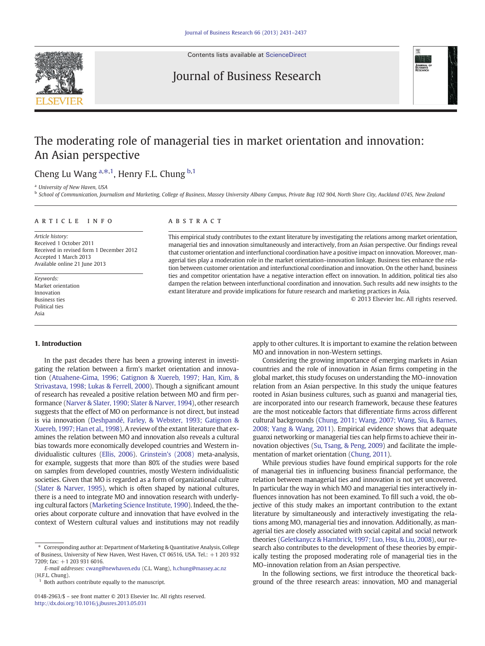

Contents lists available at [ScienceDirect](http://www.sciencedirect.com/science/journal/01482963)

## Journal of Business Research



# The moderating role of managerial ties in market orientation and innovation: An Asian perspective

### Cheng Lu Wang <sup>a,\*,1</sup>, Henry F.L. Chung <sup>b,1</sup>

<sup>a</sup> University of New Haven, USA

b School of Communication, Journalism and Marketing, College of Business, Massey University Albany Campus, Private Bag 102 904, North Shore City, Auckland 0745, New Zealand

#### article info abstract

Article history: Received 1 October 2011 Received in revised form 1 December 2012 Accepted 1 March 2013 Available online 21 June 2013

Keywords: Market orientation Innovation Business ties Political ties Asia

### 1. Introduction

In the past decades there has been a growing interest in investigating the relation between a firm's market orientation and innovation ([Atuahene-Gima, 1996; Gatignon & Xuereb, 1997; Han, Kim, &](#page--1-0) [Strivastava, 1998; Lukas & Ferrell, 2000](#page--1-0)). Though a significant amount of research has revealed a positive relation between MO and firm performance [\(Narver & Slater, 1990; Slater & Narver, 1994\)](#page--1-0), other research suggests that the effect of MO on performance is not direct, but instead is via innovation [\(Deshpandé, Farley, & Webster, 1993; Gatignon &](#page--1-0) [Xuereb, 1997; Han et al., 1998\)](#page--1-0). A review of the extant literature that examines the relation between MO and innovation also reveals a cultural bias towards more economically developed countries and Western individualistic cultures [\(Ellis, 2006](#page--1-0)). [Grinstein's \(2008\)](#page--1-0) meta-analysis, for example, suggests that more than 80% of the studies were based on samples from developed countries, mostly Western individualistic societies. Given that MO is regarded as a form of organizational culture [\(Slater & Narver, 1995](#page--1-0)), which is often shaped by national cultures, there is a need to integrate MO and innovation research with underlying cultural factors [\(Marketing Science Institute, 1990\)](#page--1-0). Indeed, the theories about corporate culture and innovation that have evolved in the context of Western cultural values and institutions may not readily

This empirical study contributes to the extant literature by investigating the relations among market orientation, managerial ties and innovation simultaneously and interactively, from an Asian perspective. Our findings reveal that customer orientation and interfunctional coordination have a positive impact on innovation. Moreover, managerial ties play a moderation role in the market orientation–innovation linkage. Business ties enhance the relation between customer orientation and interfunctional coordination and innovation. On the other hand, business ties and competitor orientation have a negative interaction effect on innovation. In addition, political ties also dampen the relation between interfunctional coordination and innovation. Such results add new insights to the extant literature and provide implications for future research and marketing practices in Asia.

© 2013 Elsevier Inc. All rights reserved.

apply to other cultures. It is important to examine the relation between MO and innovation in non-Western settings.

Considering the growing importance of emerging markets in Asian countries and the role of innovation in Asian firms competing in the global market, this study focuses on understanding the MO–innovation relation from an Asian perspective. In this study the unique features rooted in Asian business cultures, such as guanxi and managerial ties, are incorporated into our research framework, because these features are the most noticeable factors that differentiate firms across different cultural backgrounds [\(Chung, 2011; Wang, 2007; Wang, Siu, & Barnes,](#page--1-0) [2008; Yang & Wang, 2011\)](#page--1-0). Empirical evidence shows that adequate guanxi networking or managerial ties can help firms to achieve their innovation objectives ([Su, Tsang, & Peng, 2009\)](#page--1-0) and facilitate the implementation of market orientation [\(Chung, 2011\)](#page--1-0).

While previous studies have found empirical supports for the role of managerial ties in influencing business financial performance, the relation between managerial ties and innovation is not yet uncovered. In particular the way in which MO and managerial ties interactively influences innovation has not been examined. To fill such a void, the objective of this study makes an important contribution to the extant literature by simultaneously and interactively investigating the relations among MO, managerial ties and innovation. Additionally, as managerial ties are closely associated with social capital and social network theories ([Geletkanycz & Hambrick, 1997; Luo, Hsu, & Liu, 2008](#page--1-0)), our research also contributes to the development of these theories by empirically testing the proposed moderating role of managerial ties in the MO–innovation relation from an Asian perspective.

In the following sections, we first introduce the theoretical background of the three research areas: innovation, MO and managerial

<sup>⁎</sup> Corresponding author at: Department of Marketing & Quantitative Analysis, College of Business, University of New Haven, West Haven, CT 06516, USA. Tel.: +1 203 932 7209; fax: +1 203 931 6016.

E-mail addresses: [cwang@newhaven.edu](mailto:cwang@newhaven.edu) (C.L. Wang), [h.chung@massey.ac.nz](mailto:h.chung@massey.ac.nz) (H.F.L. Chung).

Both authors contribute equally to the manuscript.

<sup>0148-2963/\$</sup> – see front matter © 2013 Elsevier Inc. All rights reserved. <http://dx.doi.org/10.1016/j.jbusres.2013.05.031>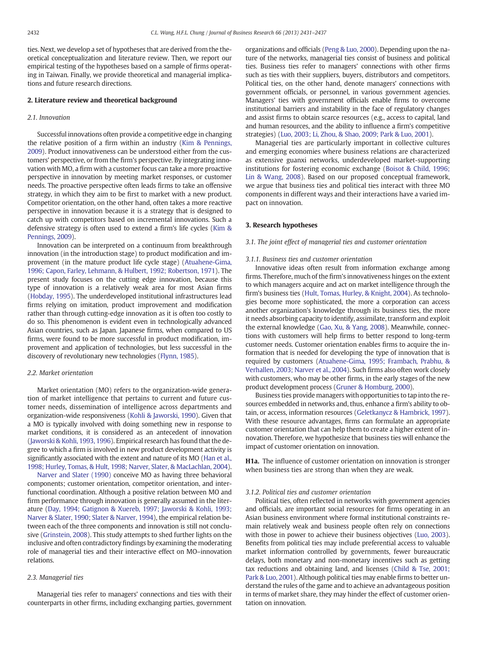ties. Next, we develop a set of hypotheses that are derived from the theoretical conceptualization and literature review. Then, we report our empirical testing of the hypotheses based on a sample of firms operating in Taiwan. Finally, we provide theoretical and managerial implications and future research directions.

#### 2. Literature review and theoretical background

#### 2.1. Innovation

Successful innovations often provide a competitive edge in changing the relative position of a firm within an industry ([Kim & Pennings,](#page--1-0) [2009\)](#page--1-0). Product innovativeness can be understood either from the customers' perspective, or from the firm's perspective. By integrating innovation with MO, a firm with a customer focus can take a more proactive perspective in innovation by meeting market responses, or customer needs. The proactive perspective often leads firms to take an offensive strategy, in which they aim to be first to market with a new product. Competitor orientation, on the other hand, often takes a more reactive perspective in innovation because it is a strategy that is designed to catch up with competitors based on incremental innovations. Such a defensive strategy is often used to extend a firm's life cycles ([Kim &](#page--1-0) [Pennings, 2009\)](#page--1-0).

Innovation can be interpreted on a continuum from breakthrough innovation (in the introduction stage) to product modification and improvement (in the mature product life cycle stage) ([Atuahene-Gima,](#page--1-0) [1996; Capon, Farley, Lehmann, & Hulbert, 1992; Robertson, 1971](#page--1-0)). The present study focuses on the cutting edge innovation, because this type of innovation is a relatively weak area for most Asian firms [\(Hobday, 1995\)](#page--1-0). The underdeveloped institutional infrastructures lead firms relying on imitation, product improvement and modification rather than through cutting-edge innovation as it is often too costly to do so. This phenomenon is evident even in technologically advanced Asian countries, such as Japan. Japanese firms, when compared to US firms, were found to be more successful in product modification, improvement and application of technologies, but less successful in the discovery of revolutionary new technologies [\(Flynn, 1985\)](#page--1-0).

#### 2.2. Market orientation

Market orientation (MO) refers to the organization-wide generation of market intelligence that pertains to current and future customer needs, dissemination of intelligence across departments and organization-wide responsiveness ([Kohli & Jaworski, 1990](#page--1-0)). Given that a MO is typically involved with doing something new in response to market conditions, it is considered as an antecedent of innovation [\(Jaworski & Kohli, 1993, 1996\)](#page--1-0). Empirical research has found that the degree to which a firm is involved in new product development activity is significantly associated with the extent and nature of its MO [\(Han et al.,](#page--1-0) [1998; Hurley, Tomas, & Hult, 1998; Narver, Slater, & MacLachlan, 2004\)](#page--1-0).

[Narver and Slater \(1990\)](#page--1-0) conceive MO as having three behavioral components; customer orientation, competitor orientation, and interfunctional coordination. Although a positive relation between MO and firm performance through innovation is generally assumed in the literature ([Day, 1994; Gatignon & Xuereb, 1997; Jaworski & Kohli, 1993;](#page--1-0) [Narver & Slater, 1990; Slater & Narver, 1994](#page--1-0)), the empirical relation between each of the three components and innovation is still not conclusive [\(Grinstein, 2008](#page--1-0)). This study attempts to shed further lights on the inclusive and often contradictory findings by examining the moderating role of managerial ties and their interactive effect on MO–innovation relations.

#### 2.3. Managerial ties

Managerial ties refer to managers' connections and ties with their counterparts in other firms, including exchanging parties, government organizations and officials [\(Peng & Luo, 2000\)](#page--1-0). Depending upon the nature of the networks, managerial ties consist of business and political ties. Business ties refer to managers' connections with other firms such as ties with their suppliers, buyers, distributors and competitors. Political ties, on the other hand, denote managers' connections with government officials, or personnel, in various government agencies. Managers' ties with government officials enable firms to overcome institutional barriers and instability in the face of regulatory changes and assist firms to obtain scarce resources (e.g., access to capital, land and human resources, and the ability to influence a firm's competitive strategies) ([Luo, 2003; Li, Zhou, & Shao, 2009; Park & Luo, 2001](#page--1-0)).

Managerial ties are particularly important in collective cultures and emerging economies where business relations are characterized as extensive guanxi networks, underdeveloped market-supporting institutions for fostering economic exchange ([Boisot & Child, 1996;](#page--1-0) [Lin & Wang, 2008\)](#page--1-0). Based on our proposed conceptual framework, we argue that business ties and political ties interact with three MO components in different ways and their interactions have a varied impact on innovation.

#### 3. Research hypotheses

#### 3.1. The joint effect of managerial ties and customer orientation

#### 3.1.1. Business ties and customer orientation

Innovative ideas often result from information exchange among firms. Therefore, much of the firm's innovativeness hinges on the extent to which managers acquire and act on market intelligence through the firm's business ties [\(Hult, Tomas, Hurley, & Knight, 2004\)](#page--1-0). As technologies become more sophisticated, the more a corporation can access another organization's knowledge through its business ties, the more it needs absorbing capacity to identify, assimilate, transform and exploit the external knowledge ([Gao, Xu, & Yang, 2008\)](#page--1-0). Meanwhile, connections with customers will help firms to better respond to long-term customer needs. Customer orientation enables firms to acquire the information that is needed for developing the type of innovation that is required by customers [\(Atuahene-Gima, 1995; Frambach, Prabhu, &](#page--1-0) [Verhallen, 2003; Narver et al., 2004\)](#page--1-0). Such firms also often work closely with customers, who may be other firms, in the early stages of the new product development process [\(Gruner & Homburg, 2000](#page--1-0)).

Business ties provide managers with opportunities to tap into the resources embedded in networks and, thus, enhance a firm's ability to obtain, or access, information resources [\(Geletkanycz & Hambrick, 1997\)](#page--1-0). With these resource advantages, firms can formulate an appropriate customer orientation that can help them to create a higher extent of innovation. Therefore, we hypothesize that business ties will enhance the impact of customer orientation on innovation.

H1a. The influence of customer orientation on innovation is stronger when business ties are strong than when they are weak.

#### 3.1.2. Political ties and customer orientation

Political ties, often reflected in networks with government agencies and officials, are important social resources for firms operating in an Asian business environment where formal institutional constraints remain relatively weak and business people often rely on connections with those in power to achieve their business objectives [\(Luo, 2003\)](#page--1-0). Benefits from political ties may include preferential access to valuable market information controlled by governments, fewer bureaucratic delays, both monetary and non-monetary incentives such as getting tax reductions and obtaining land, and licenses [\(Child & Tse, 2001;](#page--1-0) [Park & Luo, 2001](#page--1-0)). Although political ties may enable firms to better understand the rules of the game and to achieve an advantageous position in terms of market share, they may hinder the effect of customer orientation on innovation.